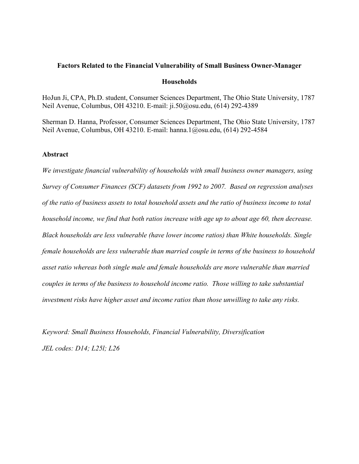#### Factors Related to the Financial Vulnerability of Small Business Owner-Manager

#### **Households**

HoJun Ji, CPA, Ph.D. student, Consumer Sciences Department, The Ohio State University, 1787 Neil Avenue, Columbus, OH 43210. E-mail: ji.50@osu.edu, (614) 292-4389

Sherman D. Hanna, Professor, Consumer Sciences Department, The Ohio State University, 1787 Neil Avenue, Columbus, OH 43210. E-mail: hanna.1@osu.edu, (614) 292-4584

#### Abstract

We investigate financial vulnerability of households with small business owner managers, using Survey of Consumer Finances (SCF) datasets from 1992 to 2007. Based on regression analyses of the ratio of business assets to total household assets and the ratio of business income to total household income, we find that both ratios increase with age up to about age 60, then decrease. Black households are less vulnerable (have lower income ratios) than White households. Single female households are less vulnerable than married couple in terms of the business to household asset ratio whereas both single male and female households are more vulnerable than married couples in terms of the business to household income ratio. Those willing to take substantial investment risks have higher asset and income ratios than those unwilling to take any risks.

Keyword: Small Business Households, Financial Vulnerability, Diversification JEL codes: D14; L25l; L26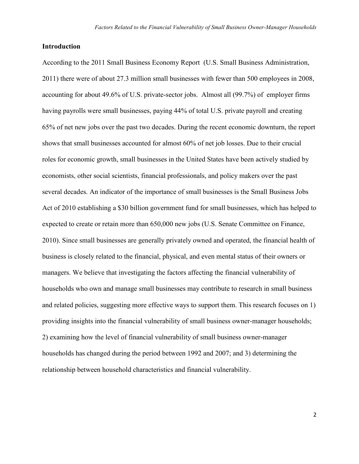## Introduction

According to the 2011 Small Business Economy Report (U.S. Small Business Administration, 2011) there were of about 27.3 million small businesses with fewer than 500 employees in 2008, accounting for about 49.6% of U.S. private-sector jobs. Almost all (99.7%) of employer firms having payrolls were small businesses, paying 44% of total U.S. private payroll and creating 65% of net new jobs over the past two decades. During the recent economic downturn, the report shows that small businesses accounted for almost 60% of net job losses. Due to their crucial roles for economic growth, small businesses in the United States have been actively studied by economists, other social scientists, financial professionals, and policy makers over the past several decades. An indicator of the importance of small businesses is the Small Business Jobs Act of 2010 establishing a \$30 billion government fund for small businesses, which has helped to expected to create or retain more than 650,000 new jobs (U.S. Senate Committee on Finance, 2010). Since small businesses are generally privately owned and operated, the financial health of business is closely related to the financial, physical, and even mental status of their owners or managers. We believe that investigating the factors affecting the financial vulnerability of households who own and manage small businesses may contribute to research in small business and related policies, suggesting more effective ways to support them. This research focuses on 1) providing insights into the financial vulnerability of small business owner-manager households; 2) examining how the level of financial vulnerability of small business owner-manager households has changed during the period between 1992 and 2007; and 3) determining the relationship between household characteristics and financial vulnerability.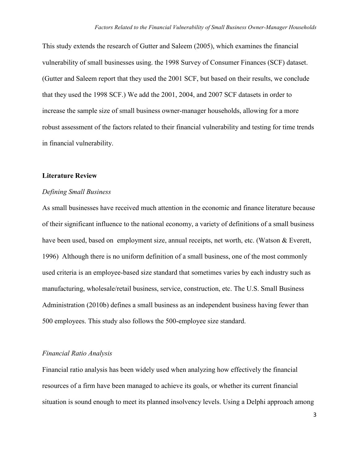This study extends the research of Gutter and Saleem (2005), which examines the financial vulnerability of small businesses using. the 1998 Survey of Consumer Finances (SCF) dataset. (Gutter and Saleem report that they used the 2001 SCF, but based on their results, we conclude that they used the 1998 SCF.) We add the 2001, 2004, and 2007 SCF datasets in order to increase the sample size of small business owner-manager households, allowing for a more robust assessment of the factors related to their financial vulnerability and testing for time trends in financial vulnerability.

#### Literature Review

#### Defining Small Business

As small businesses have received much attention in the economic and finance literature because of their significant influence to the national economy, a variety of definitions of a small business have been used, based on employment size, annual receipts, net worth, etc. (Watson & Everett, 1996) Although there is no uniform definition of a small business, one of the most commonly used criteria is an employee-based size standard that sometimes varies by each industry such as manufacturing, wholesale/retail business, service, construction, etc. The U.S. Small Business Administration (2010b) defines a small business as an independent business having fewer than 500 employees. This study also follows the 500-employee size standard.

## Financial Ratio Analysis

Financial ratio analysis has been widely used when analyzing how effectively the financial resources of a firm have been managed to achieve its goals, or whether its current financial situation is sound enough to meet its planned insolvency levels. Using a Delphi approach among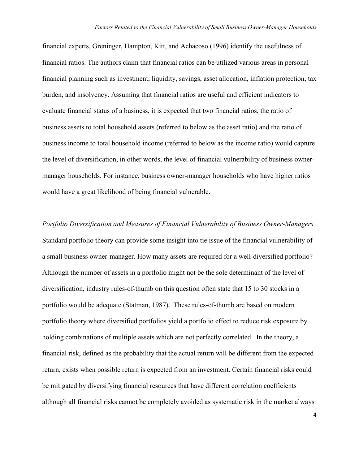financial experts, Greninger, Hampton, Kitt, and Achacoso (1996) identify the usefulness of financial ratios. The authors claim that financial ratios can be utilized various areas in personal financial planning such as investment, liquidity, savings, asset allocation, inflation protection, tax burden, and insolvency. Assuming that financial ratios are useful and efficient indicators to evaluate financial status of a business, it is expected that two financial ratios, the ratio of business assets to total household assets (referred to below as the asset ratio) and the ratio of business income to total household income (referred to below as the income ratio) would capture the level of diversification, in other words, the level of financial vulnerability of business ownermanager households. For instance, business owner-manager households who have higher ratios would have a great likelihood of being financial vulnerable.

Portfolio Diversification and Measures of Financial Vulnerability of Business Owner-Managers Standard portfolio theory can provide some insight into tie issue of the financial vulnerability of a small business owner-manager. How many assets are required for a well-diversified portfolio? Although the number of assets in a portfolio might not be the sole determinant of the level of diversification, industry rules-of-thumb on this question often state that 15 to 30 stocks in a portfolio would be adequate (Statman, 1987). These rules-of-thumb are based on modern portfolio theory where diversified portfolios yield a portfolio effect to reduce risk exposure by holding combinations of multiple assets which are not perfectly correlated. In the theory, a financial risk, defined as the probability that the actual return will be different from the expected return, exists when possible return is expected from an investment. Certain financial risks could be mitigated by diversifying financial resources that have different correlation coefficients although all financial risks cannot be completely avoided as systematic risk in the market always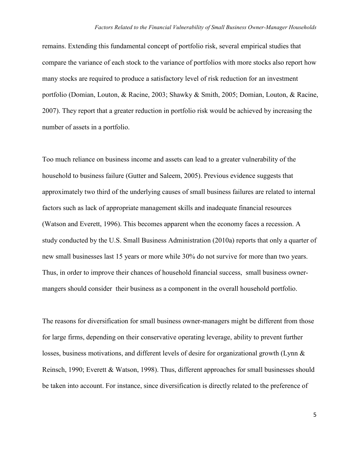remains. Extending this fundamental concept of portfolio risk, several empirical studies that compare the variance of each stock to the variance of portfolios with more stocks also report how many stocks are required to produce a satisfactory level of risk reduction for an investment portfolio (Domian, Louton, & Racine, 2003; Shawky & Smith, 2005; Domian, Louton, & Racine, 2007). They report that a greater reduction in portfolio risk would be achieved by increasing the number of assets in a portfolio.

Too much reliance on business income and assets can lead to a greater vulnerability of the household to business failure (Gutter and Saleem, 2005). Previous evidence suggests that approximately two third of the underlying causes of small business failures are related to internal factors such as lack of appropriate management skills and inadequate financial resources (Watson and Everett, 1996). This becomes apparent when the economy faces a recession. A study conducted by the U.S. Small Business Administration (2010a) reports that only a quarter of new small businesses last 15 years or more while 30% do not survive for more than two years. Thus, in order to improve their chances of household financial success, small business ownermangers should consider their business as a component in the overall household portfolio.

The reasons for diversification for small business owner-managers might be different from those for large firms, depending on their conservative operating leverage, ability to prevent further losses, business motivations, and different levels of desire for organizational growth (Lynn & Reinsch, 1990; Everett & Watson, 1998). Thus, different approaches for small businesses should be taken into account. For instance, since diversification is directly related to the preference of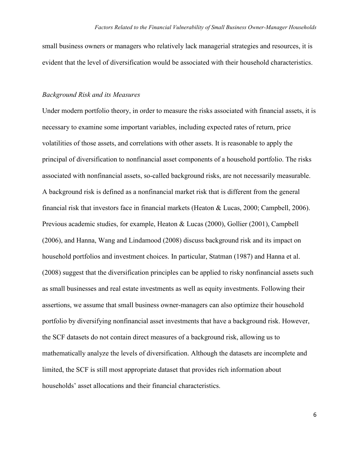small business owners or managers who relatively lack managerial strategies and resources, it is evident that the level of diversification would be associated with their household characteristics.

#### Background Risk and its Measures

Under modern portfolio theory, in order to measure the risks associated with financial assets, it is necessary to examine some important variables, including expected rates of return, price volatilities of those assets, and correlations with other assets. It is reasonable to apply the principal of diversification to nonfinancial asset components of a household portfolio. The risks associated with nonfinancial assets, so-called background risks, are not necessarily measurable. A background risk is defined as a nonfinancial market risk that is different from the general financial risk that investors face in financial markets (Heaton & Lucas, 2000; Campbell, 2006). Previous academic studies, for example, Heaton & Lucas (2000), Gollier (2001), Campbell (2006), and Hanna, Wang and Lindamood (2008) discuss background risk and its impact on household portfolios and investment choices. In particular, Statman (1987) and Hanna et al. (2008) suggest that the diversification principles can be applied to risky nonfinancial assets such as small businesses and real estate investments as well as equity investments. Following their assertions, we assume that small business owner-managers can also optimize their household portfolio by diversifying nonfinancial asset investments that have a background risk. However, the SCF datasets do not contain direct measures of a background risk, allowing us to mathematically analyze the levels of diversification. Although the datasets are incomplete and limited, the SCF is still most appropriate dataset that provides rich information about households' asset allocations and their financial characteristics.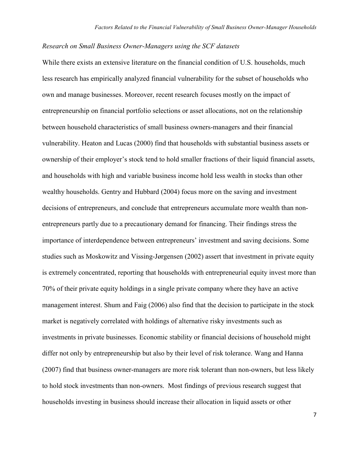## Research on Small Business Owner-Managers using the SCF datasets

While there exists an extensive literature on the financial condition of U.S. households, much less research has empirically analyzed financial vulnerability for the subset of households who own and manage businesses. Moreover, recent research focuses mostly on the impact of entrepreneurship on financial portfolio selections or asset allocations, not on the relationship between household characteristics of small business owners-managers and their financial vulnerability. Heaton and Lucas (2000) find that households with substantial business assets or ownership of their employer's stock tend to hold smaller fractions of their liquid financial assets, and households with high and variable business income hold less wealth in stocks than other wealthy households. Gentry and Hubbard (2004) focus more on the saving and investment decisions of entrepreneurs, and conclude that entrepreneurs accumulate more wealth than nonentrepreneurs partly due to a precautionary demand for financing. Their findings stress the importance of interdependence between entrepreneurs' investment and saving decisions. Some studies such as Moskowitz and Vissing-Jørgensen (2002) assert that investment in private equity is extremely concentrated, reporting that households with entrepreneurial equity invest more than 70% of their private equity holdings in a single private company where they have an active management interest. Shum and Faig (2006) also find that the decision to participate in the stock market is negatively correlated with holdings of alternative risky investments such as investments in private businesses. Economic stability or financial decisions of household might differ not only by entrepreneurship but also by their level of risk tolerance. Wang and Hanna (2007) find that business owner-managers are more risk tolerant than non-owners, but less likely to hold stock investments than non-owners. Most findings of previous research suggest that households investing in business should increase their allocation in liquid assets or other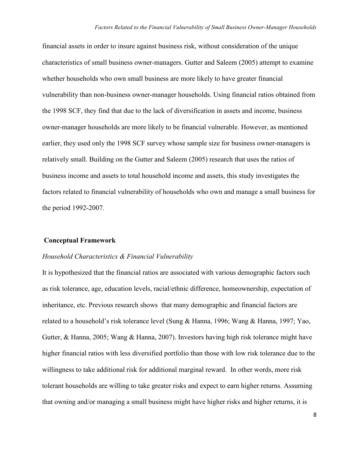financial assets in order to insure against business risk, without consideration of the unique characteristics of small business owner-managers. Gutter and Saleem (2005) attempt to examine whether households who own small business are more likely to have greater financial vulnerability than non-business owner-manager households. Using financial ratios obtained from the 1998 SCF, they find that due to the lack of diversification in assets and income, business owner-manager households are more likely to be financial vulnerable. However, as mentioned earlier, they used only the 1998 SCF survey whose sample size for business owner-managers is relatively small. Building on the Gutter and Saleem (2005) research that uses the ratios of business income and assets to total household income and assets, this study investigates the factors related to financial vulnerability of households who own and manage a small business for the period 1992-2007.

#### Conceptual Framework

#### Household Characteristics & Financial Vulnerability

It is hypothesized that the financial ratios are associated with various demographic factors such as risk tolerance, age, education levels, racial/ethnic difference, homeownership, expectation of inheritance, etc. Previous research shows that many demographic and financial factors are related to a household's risk tolerance level (Sung & Hanna, 1996; Wang & Hanna, 1997; Yao, Gutter, & Hanna, 2005; Wang & Hanna, 2007). Investors having high risk tolerance might have higher financial ratios with less diversified portfolio than those with low risk tolerance due to the willingness to take additional risk for additional marginal reward. In other words, more risk tolerant households are willing to take greater risks and expect to earn higher returns. Assuming that owning and/or managing a small business might have higher risks and higher returns, it is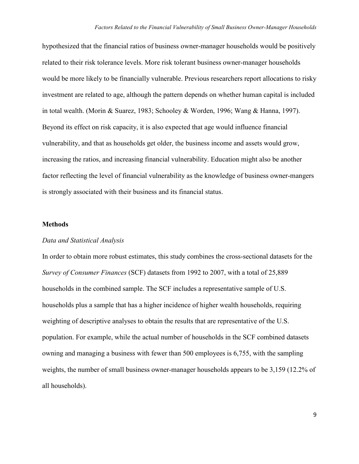hypothesized that the financial ratios of business owner-manager households would be positively related to their risk tolerance levels. More risk tolerant business owner-manager households would be more likely to be financially vulnerable. Previous researchers report allocations to risky investment are related to age, although the pattern depends on whether human capital is included in total wealth. (Morin & Suarez, 1983; Schooley & Worden, 1996; Wang & Hanna, 1997). Beyond its effect on risk capacity, it is also expected that age would influence financial vulnerability, and that as households get older, the business income and assets would grow, increasing the ratios, and increasing financial vulnerability. Education might also be another factor reflecting the level of financial vulnerability as the knowledge of business owner-mangers is strongly associated with their business and its financial status.

#### Methods

#### Data and Statistical Analysis

In order to obtain more robust estimates, this study combines the cross-sectional datasets for the Survey of Consumer Finances (SCF) datasets from 1992 to 2007, with a total of 25,889 households in the combined sample. The SCF includes a representative sample of U.S. households plus a sample that has a higher incidence of higher wealth households, requiring weighting of descriptive analyses to obtain the results that are representative of the U.S. population. For example, while the actual number of households in the SCF combined datasets owning and managing a business with fewer than 500 employees is 6,755, with the sampling weights, the number of small business owner-manager households appears to be 3,159 (12.2% of all households).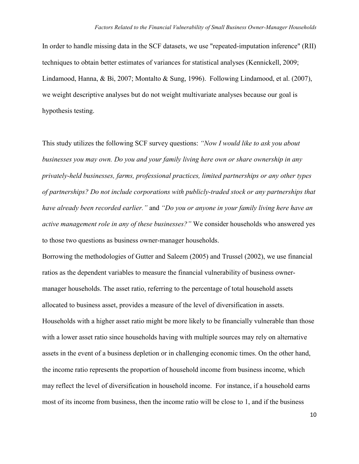In order to handle missing data in the SCF datasets, we use "repeated-imputation inference" (RII) techniques to obtain better estimates of variances for statistical analyses (Kennickell, 2009; Lindamood, Hanna, & Bi, 2007; Montalto & Sung, 1996). Following Lindamood, et al. (2007), we weight descriptive analyses but do not weight multivariate analyses because our goal is hypothesis testing.

This study utilizes the following SCF survey questions: "Now I would like to ask you about businesses you may own. Do you and your family living here own or share ownership in any privately-held businesses, farms, professional practices, limited partnerships or any other types of partnerships? Do not include corporations with publicly-traded stock or any partnerships that have already been recorded earlier." and "Do you or anyone in your family living here have an active management role in any of these businesses?" We consider households who answered yes to those two questions as business owner-manager households.

Borrowing the methodologies of Gutter and Saleem (2005) and Trussel (2002), we use financial ratios as the dependent variables to measure the financial vulnerability of business ownermanager households. The asset ratio, referring to the percentage of total household assets allocated to business asset, provides a measure of the level of diversification in assets. Households with a higher asset ratio might be more likely to be financially vulnerable than those with a lower asset ratio since households having with multiple sources may rely on alternative assets in the event of a business depletion or in challenging economic times. On the other hand, the income ratio represents the proportion of household income from business income, which may reflect the level of diversification in household income. For instance, if a household earns most of its income from business, then the income ratio will be close to 1, and if the business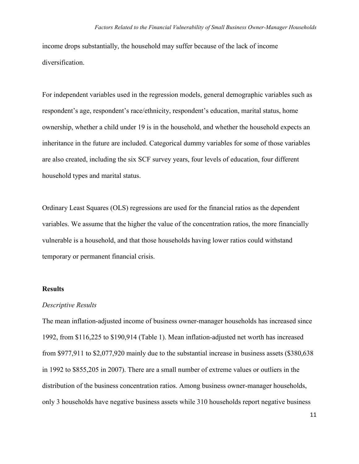income drops substantially, the household may suffer because of the lack of income diversification.

For independent variables used in the regression models, general demographic variables such as respondent's age, respondent's race/ethnicity, respondent's education, marital status, home ownership, whether a child under 19 is in the household, and whether the household expects an inheritance in the future are included. Categorical dummy variables for some of those variables are also created, including the six SCF survey years, four levels of education, four different household types and marital status.

Ordinary Least Squares (OLS) regressions are used for the financial ratios as the dependent variables. We assume that the higher the value of the concentration ratios, the more financially vulnerable is a household, and that those households having lower ratios could withstand temporary or permanent financial crisis.

#### Results

#### Descriptive Results

The mean inflation-adjusted income of business owner-manager households has increased since 1992, from \$116,225 to \$190,914 (Table 1). Mean inflation-adjusted net worth has increased from \$977,911 to \$2,077,920 mainly due to the substantial increase in business assets (\$380,638 in 1992 to \$855,205 in 2007). There are a small number of extreme values or outliers in the distribution of the business concentration ratios. Among business owner-manager households, only 3 households have negative business assets while 310 households report negative business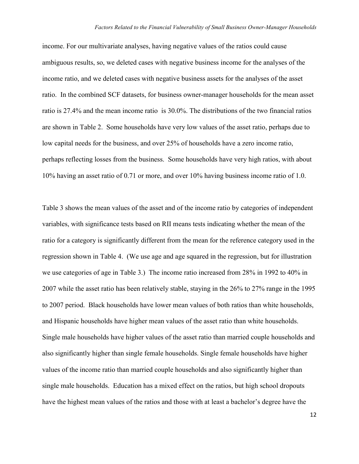income. For our multivariate analyses, having negative values of the ratios could cause ambiguous results, so, we deleted cases with negative business income for the analyses of the income ratio, and we deleted cases with negative business assets for the analyses of the asset ratio. In the combined SCF datasets, for business owner-manager households for the mean asset ratio is 27.4% and the mean income ratio is 30.0%. The distributions of the two financial ratios are shown in Table 2. Some households have very low values of the asset ratio, perhaps due to low capital needs for the business, and over 25% of households have a zero income ratio, perhaps reflecting losses from the business. Some households have very high ratios, with about 10% having an asset ratio of 0.71 or more, and over 10% having business income ratio of 1.0.

Table 3 shows the mean values of the asset and of the income ratio by categories of independent variables, with significance tests based on RII means tests indicating whether the mean of the ratio for a category is significantly different from the mean for the reference category used in the regression shown in Table 4. (We use age and age squared in the regression, but for illustration we use categories of age in Table 3.) The income ratio increased from 28% in 1992 to 40% in 2007 while the asset ratio has been relatively stable, staying in the 26% to 27% range in the 1995 to 2007 period. Black households have lower mean values of both ratios than white households, and Hispanic households have higher mean values of the asset ratio than white households. Single male households have higher values of the asset ratio than married couple households and also significantly higher than single female households. Single female households have higher values of the income ratio than married couple households and also significantly higher than single male households. Education has a mixed effect on the ratios, but high school dropouts have the highest mean values of the ratios and those with at least a bachelor's degree have the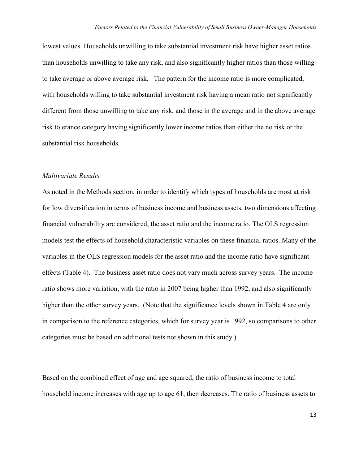lowest values. Households unwilling to take substantial investment risk have higher asset ratios than households unwilling to take any risk, and also significantly higher ratios than those willing to take average or above average risk. The pattern for the income ratio is more complicated, with households willing to take substantial investment risk having a mean ratio not significantly different from those unwilling to take any risk, and those in the average and in the above average risk tolerance category having significantly lower income ratios than either the no risk or the substantial risk households.

#### Multivariate Results

As noted in the Methods section, in order to identify which types of households are most at risk for low diversification in terms of business income and business assets, two dimensions affecting financial vulnerability are considered, the asset ratio and the income ratio. The OLS regression models test the effects of household characteristic variables on these financial ratios. Many of the variables in the OLS regression models for the asset ratio and the income ratio have significant effects (Table 4). The business asset ratio does not vary much across survey years. The income ratio shows more variation, with the ratio in 2007 being higher than 1992, and also significantly higher than the other survey years. (Note that the significance levels shown in Table 4 are only in comparison to the reference categories, which for survey year is 1992, so comparisons to other categories must be based on additional tests not shown in this study.)

Based on the combined effect of age and age squared, the ratio of business income to total household income increases with age up to age 61, then decreases. The ratio of business assets to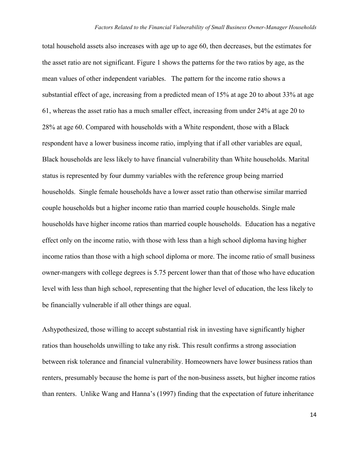total household assets also increases with age up to age 60, then decreases, but the estimates for the asset ratio are not significant. Figure 1 shows the patterns for the two ratios by age, as the mean values of other independent variables. The pattern for the income ratio shows a substantial effect of age, increasing from a predicted mean of 15% at age 20 to about 33% at age 61, whereas the asset ratio has a much smaller effect, increasing from under 24% at age 20 to 28% at age 60. Compared with households with a White respondent, those with a Black respondent have a lower business income ratio, implying that if all other variables are equal, Black households are less likely to have financial vulnerability than White households. Marital status is represented by four dummy variables with the reference group being married households. Single female households have a lower asset ratio than otherwise similar married couple households but a higher income ratio than married couple households. Single male households have higher income ratios than married couple households. Education has a negative effect only on the income ratio, with those with less than a high school diploma having higher income ratios than those with a high school diploma or more. The income ratio of small business owner-mangers with college degrees is 5.75 percent lower than that of those who have education level with less than high school, representing that the higher level of education, the less likely to be financially vulnerable if all other things are equal.

Ashypothesized, those willing to accept substantial risk in investing have significantly higher ratios than households unwilling to take any risk. This result confirms a strong association between risk tolerance and financial vulnerability. Homeowners have lower business ratios than renters, presumably because the home is part of the non-business assets, but higher income ratios than renters. Unlike Wang and Hanna's (1997) finding that the expectation of future inheritance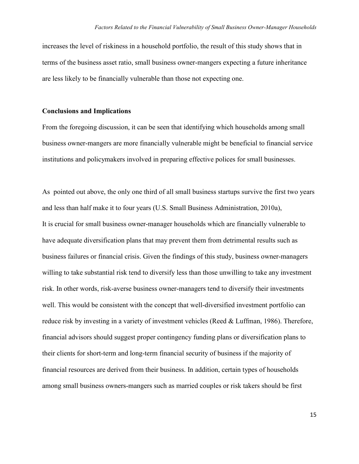increases the level of riskiness in a household portfolio, the result of this study shows that in terms of the business asset ratio, small business owner-mangers expecting a future inheritance are less likely to be financially vulnerable than those not expecting one.

#### Conclusions and Implications

From the foregoing discussion, it can be seen that identifying which households among small business owner-mangers are more financially vulnerable might be beneficial to financial service institutions and policymakers involved in preparing effective polices for small businesses.

As pointed out above, the only one third of all small business startups survive the first two years and less than half make it to four years (U.S. Small Business Administration, 2010a), It is crucial for small business owner-manager households which are financially vulnerable to have adequate diversification plans that may prevent them from detrimental results such as business failures or financial crisis. Given the findings of this study, business owner-managers willing to take substantial risk tend to diversify less than those unwilling to take any investment risk. In other words, risk-averse business owner-managers tend to diversify their investments well. This would be consistent with the concept that well-diversified investment portfolio can reduce risk by investing in a variety of investment vehicles (Reed & Luffman, 1986). Therefore, financial advisors should suggest proper contingency funding plans or diversification plans to their clients for short-term and long-term financial security of business if the majority of financial resources are derived from their business. In addition, certain types of households among small business owners-mangers such as married couples or risk takers should be first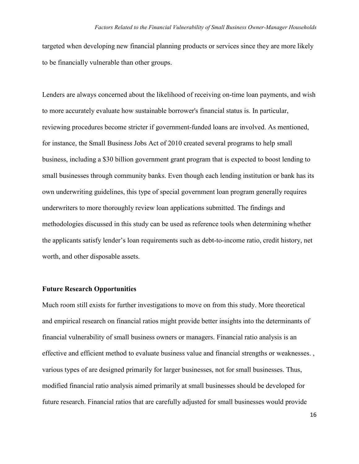targeted when developing new financial planning products or services since they are more likely to be financially vulnerable than other groups.

Lenders are always concerned about the likelihood of receiving on-time loan payments, and wish to more accurately evaluate how sustainable borrower's financial status is. In particular, reviewing procedures become stricter if government-funded loans are involved. As mentioned, for instance, the Small Business Jobs Act of 2010 created several programs to help small business, including a \$30 billion government grant program that is expected to boost lending to small businesses through community banks. Even though each lending institution or bank has its own underwriting guidelines, this type of special government loan program generally requires underwriters to more thoroughly review loan applications submitted. The findings and methodologies discussed in this study can be used as reference tools when determining whether the applicants satisfy lender's loan requirements such as debt-to-income ratio, credit history, net worth, and other disposable assets.

## Future Research Opportunities

Much room still exists for further investigations to move on from this study. More theoretical and empirical research on financial ratios might provide better insights into the determinants of financial vulnerability of small business owners or managers. Financial ratio analysis is an effective and efficient method to evaluate business value and financial strengths or weaknesses. , various types of are designed primarily for larger businesses, not for small businesses. Thus, modified financial ratio analysis aimed primarily at small businesses should be developed for future research. Financial ratios that are carefully adjusted for small businesses would provide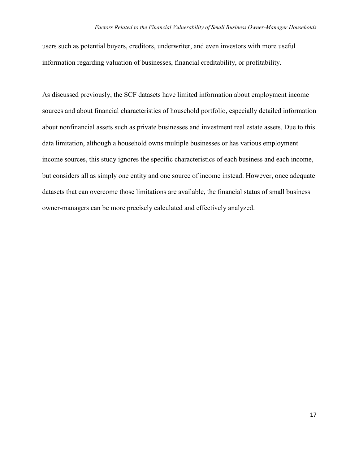users such as potential buyers, creditors, underwriter, and even investors with more useful information regarding valuation of businesses, financial creditability, or profitability.

As discussed previously, the SCF datasets have limited information about employment income sources and about financial characteristics of household portfolio, especially detailed information about nonfinancial assets such as private businesses and investment real estate assets. Due to this data limitation, although a household owns multiple businesses or has various employment income sources, this study ignores the specific characteristics of each business and each income, but considers all as simply one entity and one source of income instead. However, once adequate datasets that can overcome those limitations are available, the financial status of small business owner-managers can be more precisely calculated and effectively analyzed.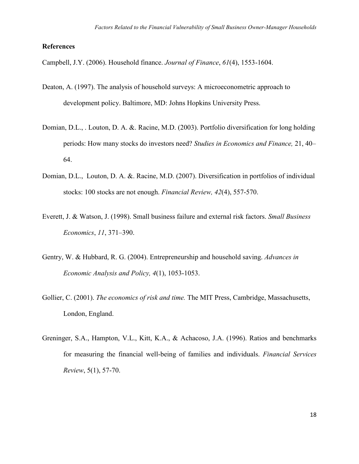## References

Campbell, J.Y. (2006). Household finance. Journal of Finance, 61(4), 1553-1604.

- Deaton, A. (1997). The analysis of household surveys: A microeconometric approach to development policy. Baltimore, MD: Johns Hopkins University Press.
- Domian, D.L., . Louton, D. A. &. Racine, M.D. (2003). Portfolio diversification for long holding periods: How many stocks do investors need? Studies in Economics and Finance, 21, 40– 64.
- Domian, D.L., Louton, D. A. &. Racine, M.D. (2007). Diversification in portfolios of individual stocks: 100 stocks are not enough. Financial Review, 42(4), 557-570.
- Everett, J. & Watson, J. (1998). Small business failure and external risk factors. Small Business Economics, 11, 371–390.
- Gentry, W. & Hubbard, R. G. (2004). Entrepreneurship and household saving. Advances in Economic Analysis and Policy, 4(1), 1053-1053.
- Gollier, C. (2001). The economics of risk and time. The MIT Press, Cambridge, Massachusetts, London, England.
- Greninger, S.A., Hampton, V.L., Kitt, K.A., & Achacoso, J.A. (1996). Ratios and benchmarks for measuring the financial well-being of families and individuals. Financial Services Review, 5(1), 57-70.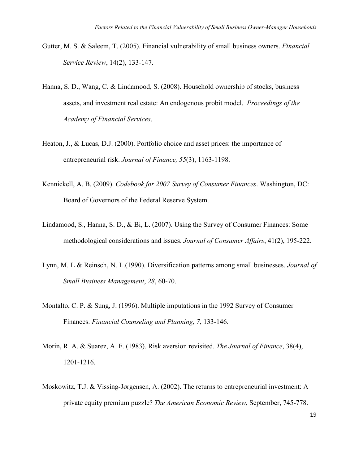- Gutter, M. S. & Saleem, T. (2005). Financial vulnerability of small business owners. Financial Service Review, 14(2), 133-147.
- Hanna, S. D., Wang, C. & Lindamood, S. (2008). Household ownership of stocks, business assets, and investment real estate: An endogenous probit model. Proceedings of the Academy of Financial Services.
- Heaton, J., & Lucas, D.J. (2000). Portfolio choice and asset prices: the importance of entrepreneurial risk. Journal of Finance, 55(3), 1163-1198.
- Kennickell, A. B. (2009). Codebook for 2007 Survey of Consumer Finances. Washington, DC: Board of Governors of the Federal Reserve System.
- Lindamood, S., Hanna, S. D., & Bi, L. (2007). Using the Survey of Consumer Finances: Some methodological considerations and issues. Journal of Consumer Affairs, 41(2), 195-222.
- Lynn, M. L & Reinsch, N. L. (1990). Diversification patterns among small businesses. *Journal of* Small Business Management, 28, 60-70.
- Montalto, C. P. & Sung, J. (1996). Multiple imputations in the 1992 Survey of Consumer Finances. Financial Counseling and Planning, 7, 133-146.
- Morin, R. A. & Suarez, A. F. (1983). Risk aversion revisited. The Journal of Finance, 38(4), 1201-1216.
- Moskowitz, T.J. & Vissing-Jørgensen, A. (2002). The returns to entrepreneurial investment: A private equity premium puzzle? The American Economic Review, September, 745-778.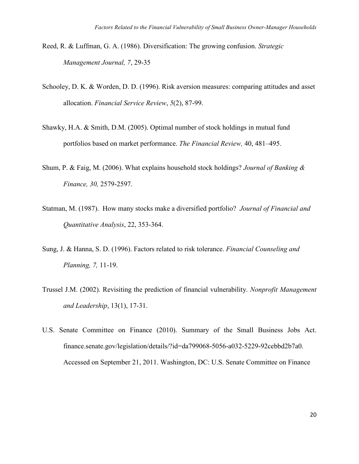- Reed, R. & Luffman, G. A. (1986). Diversification: The growing confusion. Strategic Management Journal, 7, 29-35
- Schooley, D. K. & Worden, D. D. (1996). Risk aversion measures: comparing attitudes and asset allocation. Financial Service Review, 5(2), 87-99.
- Shawky, H.A. & Smith, D.M. (2005). Optimal number of stock holdings in mutual fund portfolios based on market performance. The Financial Review, 40, 481–495.
- Shum, P. & Faig, M. (2006). What explains household stock holdings? Journal of Banking & Finance, 30, 2579-2597.
- Statman, M. (1987). How many stocks make a diversified portfolio? Journal of Financial and Quantitative Analysis, 22, 353-364.
- Sung, J. & Hanna, S. D. (1996). Factors related to risk tolerance. Financial Counseling and Planning, 7, 11-19.
- Trussel J.M. (2002). Revisiting the prediction of financial vulnerability. Nonprofit Management and Leadership, 13(1), 17-31.
- U.S. Senate Committee on Finance (2010). Summary of the Small Business Jobs Act. finance.senate.gov/legislation/details/?id=da799068-5056-a032-5229-92cebbd2b7a0. Accessed on September 21, 2011. Washington, DC: U.S. Senate Committee on Finance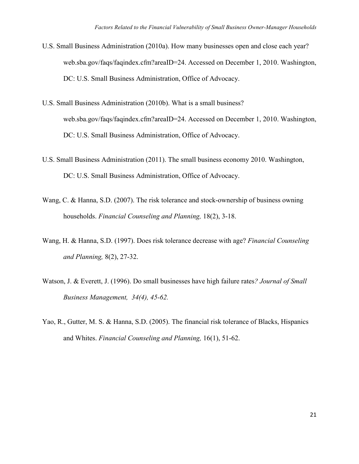- U.S. Small Business Administration (2010a). How many businesses open and close each year? web.sba.gov/faqs/faqindex.cfm?areaID=24. Accessed on December 1, 2010. Washington, DC: U.S. Small Business Administration, Office of Advocacy.
- U.S. Small Business Administration (2010b). What is a small business? web.sba.gov/faqs/faqindex.cfm?areaID=24. Accessed on December 1, 2010. Washington, DC: U.S. Small Business Administration, Office of Advocacy.
- U.S. Small Business Administration (2011). The small business economy 2010. Washington, DC: U.S. Small Business Administration, Office of Advocacy.
- Wang, C. & Hanna, S.D. (2007). The risk tolerance and stock-ownership of business owning households. Financial Counseling and Planning, 18(2), 3-18.
- Wang, H. & Hanna, S.D. (1997). Does risk tolerance decrease with age? Financial Counseling and Planning, 8(2), 27-32.
- Watson, J. & Everett, J. (1996). Do small businesses have high failure rates? *Journal of Small* Business Management, 34(4), 45-62.
- Yao, R., Gutter, M. S. & Hanna, S.D. (2005). The financial risk tolerance of Blacks, Hispanics and Whites. Financial Counseling and Planning, 16(1), 51-62.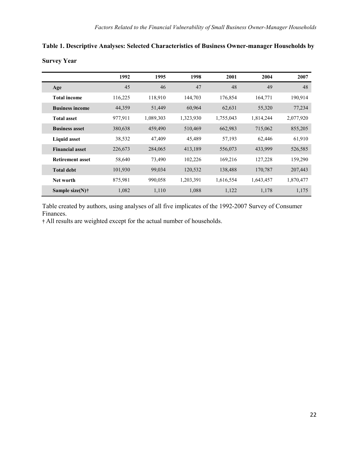|                          | 1992    | 1995      | 1998      | 2001      | 2004      | 2007      |
|--------------------------|---------|-----------|-----------|-----------|-----------|-----------|
| Age                      | 45      | 46        | 47        | 48        | 49        | 48        |
| <b>Total income</b>      | 116,225 | 118,910   | 144,703   | 176,854   | 164,771   | 190,914   |
| <b>Business income</b>   | 44,359  | 51,449    | 60,964    | 62,631    | 55,320    | 77,234    |
| <b>Total asset</b>       | 977,911 | 1,089,303 | 1,323,930 | 1,755,043 | 1,814,244 | 2,077,920 |
| <b>Business asset</b>    | 380,638 | 459,490   | 510,469   | 662,983   | 715,062   | 855,205   |
| <b>Liquid asset</b>      | 38,532  | 47,409    | 45,489    | 57,193    | 62,446    | 61,910    |
| <b>Financial asset</b>   | 226,673 | 284,065   | 413,189   | 556,073   | 433,999   | 526,585   |
| <b>Retirement asset</b>  | 58,640  | 73,490    | 102,226   | 169,216   | 127,228   | 159,290   |
| <b>Total debt</b>        | 101,930 | 99,034    | 120,532   | 138,488   | 170,787   | 207,443   |
| Net worth                | 875,981 | 990,058   | 1,203,391 | 1,616,554 | 1,643,457 | 1,870,477 |
| Sample size(N) $\dagger$ | 1,082   | 1,110     | 1,088     | 1,122     | 1,178     | 1,175     |

Table 1. Descriptive Analyses: Selected Characteristics of Business Owner-manager Households by Survey Year

Table created by authors, using analyses of all five implicates of the 1992-2007 Survey of Consumer Finances.

† All results are weighted except for the actual number of households.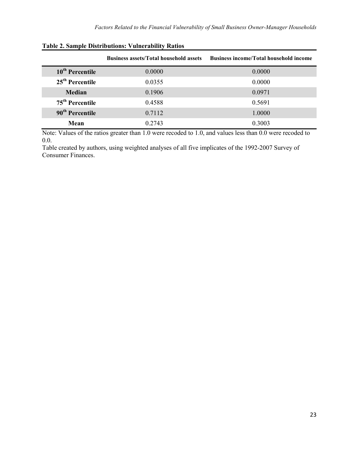|                             | <b>Business assets/Total household assets</b> | <b>Business income/Total household income</b> |
|-----------------------------|-----------------------------------------------|-----------------------------------------------|
| 10 <sup>th</sup> Percentile | 0.0000                                        | 0.0000                                        |
| $25th$ Percentile           | 0.0355                                        | 0.0000                                        |
| Median                      | 0.1906                                        | 0.0971                                        |
| 75 <sup>th</sup> Percentile | 0.4588                                        | 0.5691                                        |
| 90 <sup>th</sup> Percentile | 0.7112                                        | 1.0000                                        |
| Mean                        | 0.2743                                        | 0.3003                                        |

# Table 2. Sample Distributions: Vulnerability Ratios

Note: Values of the ratios greater than 1.0 were recoded to 1.0, and values less than 0.0 were recoded to 0.0.

Table created by authors, using weighted analyses of all five implicates of the 1992-2007 Survey of Consumer Finances.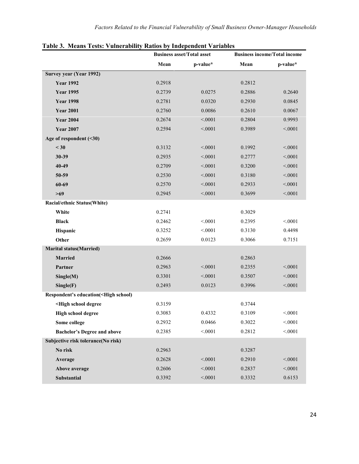|                                                                                             |        | <b>Business asset/Total asset</b> |        | <b>Business income/Total income</b> |  |  |
|---------------------------------------------------------------------------------------------|--------|-----------------------------------|--------|-------------------------------------|--|--|
|                                                                                             | Mean   | p-value*                          | Mean   | p-value*                            |  |  |
| Survey year (Year 1992)                                                                     |        |                                   |        |                                     |  |  |
| <b>Year 1992</b>                                                                            | 0.2918 |                                   | 0.2812 |                                     |  |  |
| <b>Year 1995</b>                                                                            | 0.2739 | 0.0275                            | 0.2886 | 0.2640                              |  |  |
| <b>Year 1998</b>                                                                            | 0.2781 | 0.0320                            | 0.2930 | 0.0845                              |  |  |
| <b>Year 2001</b>                                                                            | 0.2760 | 0.0086                            | 0.2610 | 0.0067                              |  |  |
| <b>Year 2004</b>                                                                            | 0.2674 | < 0001                            | 0.2804 | 0.9993                              |  |  |
| <b>Year 2007</b>                                                                            | 0.2594 | < 0001                            | 0.3989 | < 0.001                             |  |  |
| Age of respondent (<30)                                                                     |        |                                   |        |                                     |  |  |
| $<$ 30                                                                                      | 0.3132 | < 0.001                           | 0.1992 | < 0001                              |  |  |
| 30-39                                                                                       | 0.2935 | < 0001                            | 0.2777 | < 0001                              |  |  |
| 40-49                                                                                       | 0.2709 | < 0.001                           | 0.3200 | < 0.001                             |  |  |
| 50-59                                                                                       | 0.2530 | < 0.001                           | 0.3180 | < 0.001                             |  |  |
| $60 - 69$                                                                                   | 0.2570 | < 0001                            | 0.2933 | < 0001                              |  |  |
| $>69$                                                                                       | 0.2945 | < 0001                            | 0.3699 | < 0001                              |  |  |
| Racial/ethnic Status(White)                                                                 |        |                                   |        |                                     |  |  |
| White                                                                                       | 0.2741 |                                   | 0.3029 |                                     |  |  |
| <b>Black</b>                                                                                | 0.2462 | < 0.001                           | 0.2395 | < 0001                              |  |  |
| Hispanic                                                                                    | 0.3252 | < 0001                            | 0.3130 | 0.4498                              |  |  |
| Other                                                                                       | 0.2659 | 0.0123                            | 0.3066 | 0.7151                              |  |  |
| <b>Marital status(Married)</b>                                                              |        |                                   |        |                                     |  |  |
| Married                                                                                     | 0.2666 |                                   | 0.2863 |                                     |  |  |
| Partner                                                                                     | 0.2963 | < 0.001                           | 0.2355 | < 0.001                             |  |  |
| Single(M)                                                                                   | 0.3301 | < 0001                            | 0.3507 | < 0001                              |  |  |
| Single(F)                                                                                   | 0.2493 | 0.0123                            | 0.3996 | < 0001                              |  |  |
| Respondent's education( <high school)<="" th=""><th></th><th></th><th></th><th></th></high> |        |                                   |        |                                     |  |  |
| <high degree<="" school="" th=""><th>0.3159</th><th></th><th>0.3744</th><th></th></high>    | 0.3159 |                                   | 0.3744 |                                     |  |  |
| <b>High school degree</b>                                                                   | 0.3083 | 0.4332                            | 0.3109 | < 0001                              |  |  |
| Some college                                                                                | 0.2932 | 0.0466                            | 0.3022 | < 0001                              |  |  |
| <b>Bachelor's Degree and above</b>                                                          | 0.2385 | < 0001                            | 0.2812 | < 0001                              |  |  |
| Subjective risk tolerance(No risk)                                                          |        |                                   |        |                                     |  |  |
| No risk                                                                                     | 0.2963 |                                   | 0.3287 |                                     |  |  |
| Average                                                                                     | 0.2628 | < 0.001                           | 0.2910 | < 0001                              |  |  |
| Above average                                                                               | 0.2606 | < 0001                            | 0.2837 | < 0001                              |  |  |
| Substantial                                                                                 | 0.3392 | < .0001                           | 0.3332 | 0.6153                              |  |  |

## Table 3. Means Tests: Vulnerability Ratios by Independent Variables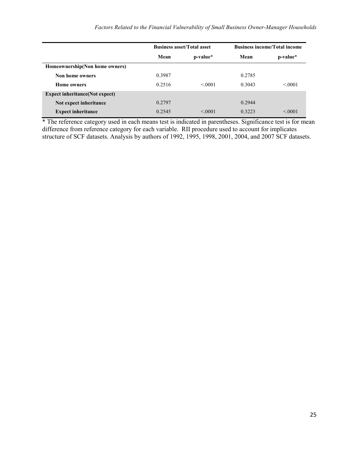|                                        |        | <b>Business asset/Total asset</b> | <b>Business income/Total income</b> |          |  |
|----------------------------------------|--------|-----------------------------------|-------------------------------------|----------|--|
|                                        | Mean   | p-value*                          | Mean                                | p-value* |  |
| Homeownership(Non home owners)         |        |                                   |                                     |          |  |
| Non home owners                        | 0.3987 |                                   | 0.2785                              |          |  |
| <b>Home owners</b>                     | 0.2516 | < 0.001                           | 0.3043                              | < 0.001  |  |
| <b>Expect inheritance</b> (Not expect) |        |                                   |                                     |          |  |
| Not expect inheritance                 | 0.2797 |                                   | 0.2944                              |          |  |
| <b>Expect inheritance</b>              | 0.2545 | < 0.001                           | 0.3223                              | < 0.001  |  |

\* The reference category used in each means test is indicated in parentheses. Significance test is for mean difference from reference category for each variable. RII procedure used to account for implicates structure of SCF datasets. Analysis by authors of 1992, 1995, 1998, 2001, 2004, and 2007 SCF datasets.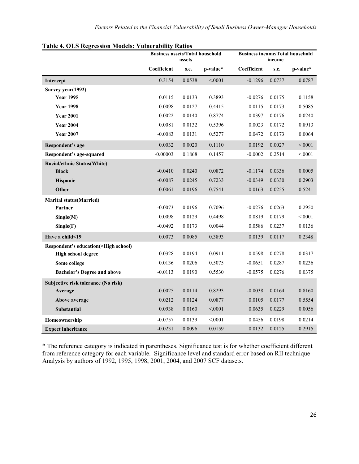|                                                                                                               | <b>Business assets/Total household</b><br>assets |        |          | <b>Business income/Total household</b><br>income |        |          |
|---------------------------------------------------------------------------------------------------------------|--------------------------------------------------|--------|----------|--------------------------------------------------|--------|----------|
|                                                                                                               | Coefficient                                      | s.e.   | p-value* | Coefficient                                      | s.e.   | p-value* |
| Intercept                                                                                                     | 0.3154                                           | 0.0538 | < 0001   | $-0.1296$                                        | 0.0737 | 0.0787   |
| Survey year(1992)                                                                                             |                                                  |        |          |                                                  |        |          |
| <b>Year 1995</b>                                                                                              | 0.0115                                           | 0.0133 | 0.3893   | $-0.0276$                                        | 0.0175 | 0.1158   |
| <b>Year 1998</b>                                                                                              | 0.0098                                           | 0.0127 | 0.4415   | $-0.0115$                                        | 0.0173 | 0.5085   |
| <b>Year 2001</b>                                                                                              | 0.0022                                           | 0.0140 | 0.8774   | $-0.0397$                                        | 0.0176 | 0.0240   |
| <b>Year 2004</b>                                                                                              | 0.0081                                           | 0.0132 | 0.5396   | 0.0023                                           | 0.0172 | 0.8913   |
| <b>Year 2007</b>                                                                                              | $-0.0083$                                        | 0.0131 | 0.5277   | 0.0472                                           | 0.0173 | 0.0064   |
| Respondent's age                                                                                              | 0.0032                                           | 0.0020 | 0.1110   | 0.0192                                           | 0.0027 | < 0.001  |
| Respondent's age-squared                                                                                      | $-0.00003$                                       | 0.1868 | 0.1457   | $-0.0002$                                        | 0.2514 | < 0001   |
| <b>Racial/ethnic Status(White)</b>                                                                            |                                                  |        |          |                                                  |        |          |
| <b>Black</b>                                                                                                  | $-0.0410$                                        | 0.0240 | 0.0872   | $-0.1174$                                        | 0.0336 | 0.0005   |
| <b>Hispanic</b>                                                                                               | $-0.0087$                                        | 0.0245 | 0.7233   | $-0.0349$                                        | 0.0330 | 0.2903   |
| Other                                                                                                         | $-0.0061$                                        | 0.0196 | 0.7541   | 0.0163                                           | 0.0255 | 0.5241   |
| <b>Marital status(Married)</b>                                                                                |                                                  |        |          |                                                  |        |          |
| Partner                                                                                                       | $-0.0073$                                        | 0.0196 | 0.7096   | $-0.0276$                                        | 0.0263 | 0.2950   |
| Single(M)                                                                                                     | 0.0098                                           | 0.0129 | 0.4498   | 0.0819                                           | 0.0179 | < 0001   |
| Single(F)                                                                                                     | $-0.0492$                                        | 0.0173 | 0.0044   | 0.0586                                           | 0.0237 | 0.0136   |
| Have a child<19                                                                                               | 0.0073                                           | 0.0085 | 0.3893   | 0.0139                                           | 0.0117 | 0.2348   |
| Respondent's education( <high school)<="" th=""><th></th><th></th><th></th><th></th><th></th><th></th></high> |                                                  |        |          |                                                  |        |          |
| <b>High school degree</b>                                                                                     | 0.0328                                           | 0.0194 | 0.0911   | $-0.0598$                                        | 0.0278 | 0.0317   |
| Some college                                                                                                  | 0.0136                                           | 0.0206 | 0.5075   | $-0.0651$                                        | 0.0287 | 0.0236   |
| <b>Bachelor's Degree and above</b>                                                                            | $-0.0113$                                        | 0.0190 | 0.5530   | $-0.0575$                                        | 0.0276 | 0.0375   |
| Subjective risk tolerance (No risk)                                                                           |                                                  |        |          |                                                  |        |          |
| Average                                                                                                       | $-0.0025$                                        | 0.0114 | 0.8293   | $-0.0038$                                        | 0.0164 | 0.8160   |
| Above average                                                                                                 | 0.0212                                           | 0.0124 | 0.0877   | 0.0105                                           | 0.0177 | 0.5554   |
| <b>Substantial</b>                                                                                            | 0.0938                                           | 0.0160 | < 0001   | 0.0635                                           | 0.0229 | 0.0056   |
| Homeownership                                                                                                 | $-0.0757$                                        | 0.0139 | < 0001   | 0.0456                                           | 0.0198 | 0.0214   |
| <b>Expect inheritance</b>                                                                                     | $-0.0231$                                        | 0.0096 | 0.0159   | 0.0132                                           | 0.0125 | 0.2915   |

\* The reference category is indicated in parentheses. Significance test is for whether coefficient different from reference category for each variable. Significance level and standard error based on RII technique Analysis by authors of 1992, 1995, 1998, 2001, 2004, and 2007 SCF datasets.